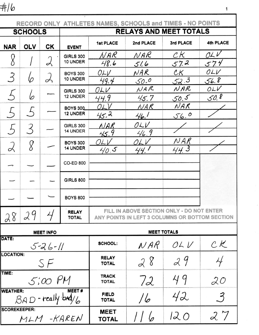$#16$ 

| RECORD ONLY ATHLETES NAMES, SCHOOLS and TIMES - NO POINTS |                |                  |                                    |                                                                                             |              |                            |                  |  |  |  |  |
|-----------------------------------------------------------|----------------|------------------|------------------------------------|---------------------------------------------------------------------------------------------|--------------|----------------------------|------------------|--|--|--|--|
|                                                           | <b>SCHOOLS</b> |                  |                                    | <b>RELAYS AND MEET TOTALS</b>                                                               |              |                            |                  |  |  |  |  |
| <b>NAR</b>                                                | <b>OLV</b>     | СK               | <b>EVENT</b>                       | <b>1st PLACE</b>                                                                            | 2nd PLACE    | 3rd PLACE                  | <b>4th PLACE</b> |  |  |  |  |
| 8                                                         |                | 乄                | <b>GIRLS 300</b><br>10 UNDER       | NAR<br>48.6                                                                                 | NAR<br>51.6  | CК<br>57.2                 | OLV<br>574       |  |  |  |  |
|                                                           | 6              |                  | <b>BOYS 300</b><br>10 UNDER        | OLV<br>49.4                                                                                 | NAR<br>50.0  | ${\cal C}{\cal K}$<br>52.3 | OLV<br>56.8      |  |  |  |  |
|                                                           | 6              |                  | <b>GIRLS 300</b><br>12 UNDER       | OLV<br>44.9                                                                                 | NAR<br>45.7  | NAR<br>50.5                | OLV<br>50.8      |  |  |  |  |
|                                                           | $\mathcal{L}$  |                  | <b>BOYS 300</b><br>12 UNDER        | OLV<br>45.2                                                                                 | NAR<br>46.1  | NAR<br>56.0                |                  |  |  |  |  |
| $\sqrt{2}$                                                | 3              |                  | <b>GIRLS 300</b><br>14 UNDER       | NAR<br>45.9                                                                                 | OLV<br>46.9  |                            |                  |  |  |  |  |
|                                                           | 8              |                  | <b>BOYS 300</b><br><b>14 UNDER</b> | OLV<br>40.5                                                                                 | OLV<br>44. I | NAR<br>44. 3               |                  |  |  |  |  |
|                                                           |                |                  | <b>CO-ED 800</b>                   |                                                                                             |              |                            |                  |  |  |  |  |
|                                                           |                |                  | <b>GIRLS 800</b>                   |                                                                                             |              |                            |                  |  |  |  |  |
|                                                           |                |                  | <b>BOYS 800</b>                    |                                                                                             |              |                            |                  |  |  |  |  |
| 28                                                        | 29             | 4                | <b>RELAY</b><br><b>TOTAL</b>       | FILL IN ABOVE SECTION ONLY - DO NOT ENTER<br>ANY POINTS IN LEFT 3 COLUMNS OR BOTTOM SECTION |              |                            |                  |  |  |  |  |
|                                                           |                | <b>MEET INFO</b> |                                    | <b>MEET TOTALS</b>                                                                          |              |                            |                  |  |  |  |  |
| DATE:                                                     |                | $5 - 26 - 11$    |                                    | <b>SCHOOL:</b>                                                                              | NAR          | OL V                       | CK               |  |  |  |  |
| <b>LOCATION:</b>                                          |                | SF               |                                    | <b>RELAY</b><br><b>TOTAL</b>                                                                | 28<br>29     |                            | $\frac{1}{2}$    |  |  |  |  |
| TIME:                                                     |                | $5:00$ $PM$      |                                    | <b>TRACK</b><br><b>TOTAL</b>                                                                | 49<br>72     |                            | 20               |  |  |  |  |
| <b>WEATHER:</b>                                           |                |                  | MEET#<br>BAD-really bad/6          | <b>FIELD</b><br><b>TOTAL</b>                                                                | 16           | 42                         | $\mathfrak{Z}$   |  |  |  |  |
| <b>SCOREKEEPER:</b>                                       |                |                  | MLM-KAREN                          | <b>MEET</b><br><b>TOTAL</b>                                                                 |              | 120                        | 27               |  |  |  |  |

 $\mathbf 1$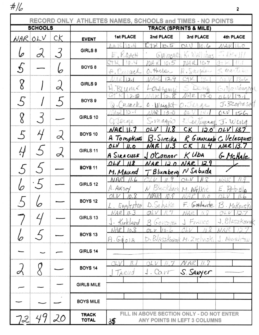$\#/\!\!/_G$ 

|                  | <b>SCHOOLS</b> |              |                              | RECORD ONLY ATHLETES NAMES, SCHOOLS and TIMES - NO POINTS<br><b>TRACK (SPRINTS &amp; MILE)</b> |                                   |                                           |                                       |  |  |  |  |
|------------------|----------------|--------------|------------------------------|------------------------------------------------------------------------------------------------|-----------------------------------|-------------------------------------------|---------------------------------------|--|--|--|--|
| сK<br>OLV<br>NAR |                | <b>EVENT</b> | 1st PLACE                    | 2nd PLACE                                                                                      | 3rd PLACE                         | 4th PLACE                                 |                                       |  |  |  |  |
| 0                | L              | 3            | GIRLS 8                      | 10.4<br>$A$ - $1<$                                                                             | 10.5                              | 10.6                                      | /AR<br>$\pi$ (eq)                     |  |  |  |  |
| 5                |                |              | BOYS <sub>8</sub>            | E, Raat<br>10.4                                                                                | GIA MARI<br>mA<br>1015            | K. WALLINDS<br>WA-R<br>10.7               |                                       |  |  |  |  |
|                  |                | ∽            | GIRLS 9                      | A. Cusach<br>$\lambda_{t}$                                                                     | O. Huber<br>12.9                  | R. Snyder<br>1%。                          | 3. martino<br>316                     |  |  |  |  |
| 8                |                | ৶            |                              | $_{UMC}$                                                                                       | Lorenanni<br>ġ                    | S<br>DOM<br>NAR<br>1300                   | Sillaningin<br>131                    |  |  |  |  |
| 5                |                |              | BOYS <sub>9</sub>            | Cusack<br>lД.<br>$\geq$ .                                                                      | O Wright<br>IAR.<br>13.0          | OIJURR                                    | J. SZOPINSK<br>$O\sim$ $V$<br>15.6    |  |  |  |  |
| 8                |                |              | GIRLS 10                     | Oflane                                                                                         | Simanno                           | reterance                                 | $J.$ Wing                             |  |  |  |  |
| $\zeta$          |                | $\alpha$     | BOYS 10                      | $NAR$ 11.7<br>A Tompkins                                                                       | OLV<br>11.8<br>$B.$ Sireika       | CK<br>$12.0^{\circ}$                      | $OLV$ 13.7<br>R GIANCARD C. Velasques |  |  |  |  |
| Ĥ                |                | ♂            | GIRLS 11                     | OLV<br>II.0<br>A SIRACUSE                                                                      | NARI<br>11.3<br>JOConnor          | CK<br>11.4<br>$K$ Uba                     | NAR 13.7<br>G. McHale                 |  |  |  |  |
| 5                |                |              | <b>BOYS 11</b>               | 11.8<br>OLV<br>M. Maund                                                                        | NAR<br>120<br>T Blumberg N Sabuda | NAR<br>12.9                               |                                       |  |  |  |  |
|                  |                |              | GIRLS 12                     | MAR<br>A.AKsot                                                                                 | Blackbarn<br>N                    | M. Wilkie                                 | E<br>Petrella                         |  |  |  |  |
|                  | ັ              |              | <b>BOYS 12</b>               | 10.8<br>OLV<br>L. Eggleston                                                                    | D. Schake                         |                                           | F Galante B. Makouski                 |  |  |  |  |
|                  |                |              | GIRLS 13                     | $NAR$ $11.3$<br>Kirkland                                                                       | QLV<br>B Govern                   | NAR<br>J Franco                           | OLV<br>12.7<br>$J. \text{BlaszKounk}$ |  |  |  |  |
|                  |                |              | <b>BOYS 13</b>               | 10.8<br>NAP<br>A.GqO1A                                                                         | $OLV$ 10.6                        | OLV<br>10 S<br>D. BLASZKOWAR M. Zielinski | NAR<br>. NAUGHTIN                     |  |  |  |  |
|                  |                |              | GIRLS 14                     |                                                                                                |                                   |                                           |                                       |  |  |  |  |
|                  |                |              | <b>BOYS 14</b>               | TARUD                                                                                          | OLV<br>J.Carr                     | NAR<br>S. SAWYER                          |                                       |  |  |  |  |
|                  |                |              | <b>GIRLS MILE</b>            |                                                                                                |                                   |                                           |                                       |  |  |  |  |
|                  |                |              | <b>BOYS MILE</b>             |                                                                                                |                                   |                                           |                                       |  |  |  |  |
|                  | 72 49          | 20           | <b>TRACK</b><br><b>TOTAL</b> | 35                                                                                             | ANY POINTS IN LEFT 3 COLUMNS      | FILL IN ABOVE SECTION ONLY - DO NOT ENTER |                                       |  |  |  |  |